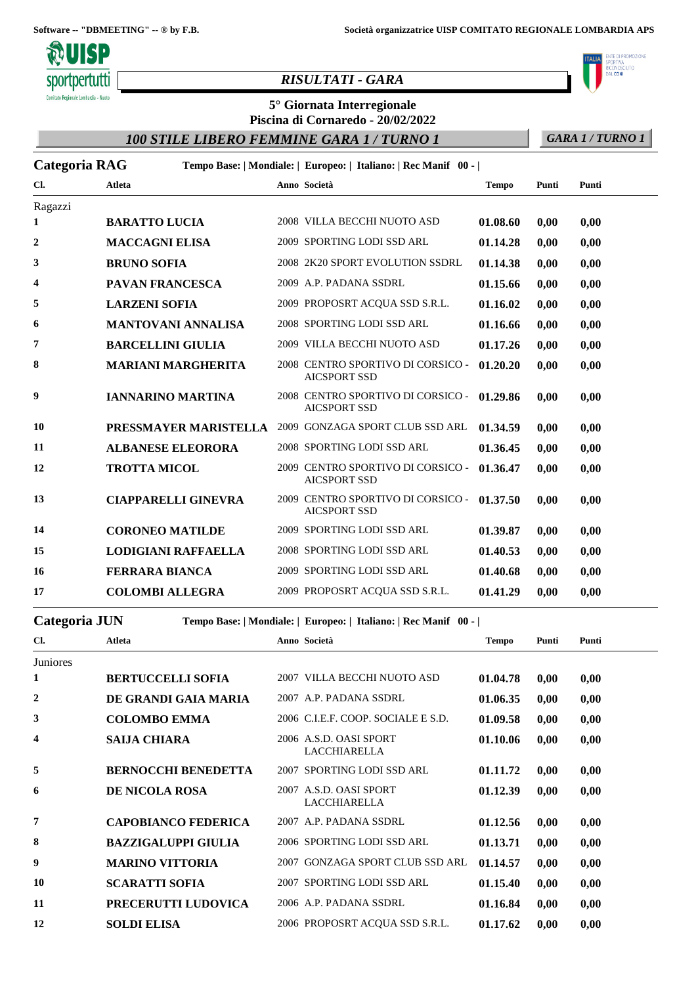

## *RISULTATI - GARA*

# **5° Giornata Interregionale**

**Piscina di Cornaredo - 20/02/2022**

*100 STILE LIBERO FEMMINE GARA 1 / TURNO 1 GARA 1 / TURNO 1*

NTE DI PROMOZIONE .<br>CIUTO RICONOSC<br>DAL **CONI** 

| <b>Categoria RAG</b> |                          |                            | Tempo Base:   Mondiale:   Europeo:   Italiano:   Rec Manif 00 - |              |       |       |
|----------------------|--------------------------|----------------------------|-----------------------------------------------------------------|--------------|-------|-------|
| Cl.                  | Atleta                   |                            | Anno Società                                                    | <b>Tempo</b> | Punti | Punti |
| Ragazzi              |                          |                            |                                                                 |              |       |       |
| 1                    | <b>BARATTO LUCIA</b>     |                            | 2008 VILLA BECCHI NUOTO ASD                                     | 01.08.60     | 0,00  | 0,00  |
| $\mathbf{2}$         | <b>MACCAGNI ELISA</b>    |                            | 2009 SPORTING LODI SSD ARL                                      | 01.14.28     | 0,00  | 0,00  |
| 3                    | <b>BRUNO SOFIA</b>       |                            | 2008 2K20 SPORT EVOLUTION SSDRL                                 | 01.14.38     | 0,00  | 0,00  |
| 4                    | <b>PAVAN FRANCESCA</b>   |                            | 2009 A.P. PADANA SSDRL                                          | 01.15.66     | 0,00  | 0,00  |
| 5                    | <b>LARZENI SOFIA</b>     |                            | 2009 PROPOSRT ACQUA SSD S.R.L.                                  | 01.16.02     | 0,00  | 0,00  |
| 6                    |                          | <b>MANTOVANI ANNALISA</b>  | 2008 SPORTING LODI SSD ARL                                      | 01.16.66     | 0,00  | 0,00  |
| 7                    | <b>BARCELLINI GIULIA</b> |                            | 2009 VILLA BECCHI NUOTO ASD                                     | 01.17.26     | 0,00  | 0,00  |
| 8                    |                          | <b>MARIANI MARGHERITA</b>  | 2008 CENTRO SPORTIVO DI CORSICO -<br><b>AICSPORT SSD</b>        | 01.20.20     | 0.00  | 0,00  |
| 9                    | <b>IANNARINO MARTINA</b> |                            | 2008 CENTRO SPORTIVO DI CORSICO -<br><b>AICSPORT SSD</b>        | 01.29.86     | 0,00  | 0,00  |
| 10                   |                          | PRESSMAYER MARISTELLA      | 2009 GONZAGA SPORT CLUB SSD ARL                                 | 01.34.59     | 0.00  | 0,00  |
| 11                   | <b>ALBANESE ELEORORA</b> |                            | 2008 SPORTING LODI SSD ARL                                      | 01.36.45     | 0,00  | 0,00  |
| 12                   | <b>TROTTA MICOL</b>      |                            | 2009 CENTRO SPORTIVO DI CORSICO -<br><b>AICSPORT SSD</b>        | 01.36.47     | 0,00  | 0,00  |
| 13                   |                          | <b>CIAPPARELLI GINEVRA</b> | 2009 CENTRO SPORTIVO DI CORSICO -<br><b>AICSPORT SSD</b>        | 01.37.50     | 0.00  | 0,00  |
| 14                   | <b>CORONEO MATILDE</b>   |                            | 2009 SPORTING LODI SSD ARL                                      | 01.39.87     | 0,00  | 0,00  |
| 15                   |                          | <b>LODIGIANI RAFFAELLA</b> | 2008 SPORTING LODI SSD ARL                                      | 01.40.53     | 0,00  | 0,00  |
| 16                   | <b>FERRARA BIANCA</b>    |                            | 2009 SPORTING LODI SSD ARL                                      | 01.40.68     | 0,00  | 0,00  |
| 17                   | <b>COLOMBI ALLEGRA</b>   |                            | 2009 PROPOSRT ACQUA SSD S.R.L.                                  | 01.41.29     | 0,00  | 0,00  |

#### **Categoria JUN Tempo Base: | Mondiale: | Europeo: | Italiano: | Rec Manif 00 - |**

| Cl.      | <b>Atleta</b>              |      | Anno Società                                  | <b>Tempo</b> | Punti | Punti |
|----------|----------------------------|------|-----------------------------------------------|--------------|-------|-------|
| Juniores |                            |      |                                               |              |       |       |
| 1        | <b>BERTUCCELLI SOFIA</b>   |      | 2007 VILLA BECCHI NUOTO ASD                   | 01.04.78     | 0,00  | 0,00  |
| 2        | DE GRANDI GAIA MARIA       |      | 2007 A.P. PADANA SSDRL                        | 01.06.35     | 0,00  | 0,00  |
| 3        | <b>COLOMBO EMMA</b>        |      | 2006 C.I.E.F. COOP. SOCIALE E S.D.            | 01.09.58     | 0,00  | 0,00  |
| 4        | <b>SAIJA CHIARA</b>        |      | 2006 A.S.D. OASI SPORT<br><b>LACCHIARELLA</b> | 01.10.06     | 0,00  | 0,00  |
| 5        | <b>BERNOCCHI BENEDETTA</b> |      | 2007 SPORTING LODI SSD ARL                    | 01.11.72     | 0.00  | 0,00  |
| 6        | <b>DE NICOLA ROSA</b>      |      | 2007 A.S.D. OASI SPORT<br><b>LACCHIARELLA</b> | 01.12.39     | 0,00  | 0,00  |
| 7        | <b>CAPOBIANCO FEDERICA</b> |      | 2007 A.P. PADANA SSDRL                        | 01.12.56     | 0.00  | 0,00  |
| 8        | <b>BAZZIGALUPPI GIULIA</b> |      | 2006 SPORTING LODI SSD ARL                    | 01.13.71     | 0,00  | 0,00  |
| 9        | <b>MARINO VITTORIA</b>     | 2007 | <b>GONZAGA SPORT CLUB SSD ARL</b>             | 01.14.57     | 0,00  | 0,00  |
| 10       | <b>SCARATTI SOFIA</b>      |      | 2007 SPORTING LODI SSD ARL                    | 01.15.40     | 0,00  | 0,00  |
| 11       | PRECERUTTI LUDOVICA        |      | 2006 A.P. PADANA SSDRL                        | 01.16.84     | 0,00  | 0,00  |
| 12       | <b>SOLDI ELISA</b>         |      | 2006 PROPOSRT ACOUA SSD S.R.L.                | 01.17.62     | 0,00  | 0,00  |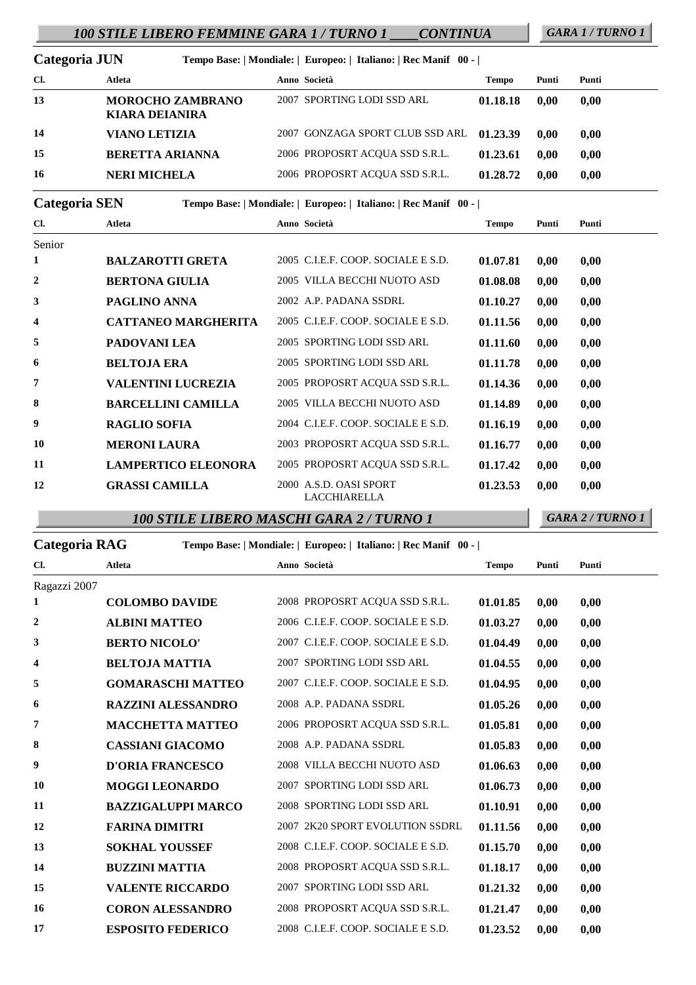# *100 STILE LIBERO FEMMINE GARA 1 / TURNO 1 \_\_\_\_CONTINUA GARA 1 / TURNO 1*

| Categoria JUN |                                                  | Tempo Base:   Mondiale:   Europeo:   Italiano:   Rec Manif 00 - |          |       |       |
|---------------|--------------------------------------------------|-----------------------------------------------------------------|----------|-------|-------|
| Cl.           | Atleta                                           | Anno Società                                                    | Tempo    | Punti | Punti |
| 13            | <b>MOROCHO ZAMBRANO</b><br><b>KIARA DEIANIRA</b> | 2007 SPORTING LODI SSD ARL                                      | 01.18.18 | 0.00  | 0,00  |
| 14            | <b>VIANO LETIZIA</b>                             | 2007 GONZAGA SPORT CLUB SSD ARL                                 | 01.23.39 | 0.00  | 0.00  |
| 15            | <b>BERETTA ARIANNA</b>                           | 2006 PROPOSRT ACOUA SSD S.R.L.                                  | 01.23.61 | 0.00  | 0,00  |
| 16            | <b>NERI MICHELA</b>                              | 2006 PROPOSRT ACOUA SSD S.R.L.                                  | 01.28.72 | 0.00  | 0,00  |

### **Categoria SEN Tempo Base: | Mondiale: | Europeo: | Italiano: | Rec Manif 00 - |**

| Cl.          | Atleta                     | Anno Società                                  | Tempo    | Punti | Punti |
|--------------|----------------------------|-----------------------------------------------|----------|-------|-------|
| Senior       |                            |                                               |          |       |       |
| 1            | <b>BALZAROTTI GRETA</b>    | 2005 C.I.E.F. COOP. SOCIALE E S.D.            | 01.07.81 | 0.00  | 0.00  |
| $\mathbf{2}$ | <b>BERTONA GIULIA</b>      | 2005 VILLA BECCHI NUOTO ASD                   | 01.08.08 | 0,00  | 0,00  |
| 3            | PAGLINO ANNA               | 2002 A.P. PADANA SSDRL                        | 01.10.27 | 0,00  | 0,00  |
| 4            | <b>CATTANEO MARGHERITA</b> | 2005 C.I.E.F. COOP. SOCIALE E S.D.            | 01.11.56 | 0,00  | 0.00  |
| 5            | PADOVANI LEA               | 2005 SPORTING LODI SSD ARL                    | 01.11.60 | 0,00  | 0,00  |
| 6            | <b>BELTOJA ERA</b>         | 2005 SPORTING LODI SSD ARL                    | 01.11.78 | 0.00  | 0,00  |
| 7            | <b>VALENTINI LUCREZIA</b>  | 2005 PROPOSRT ACQUA SSD S.R.L.                | 01.14.36 | 0,00  | 0,00  |
| 8            | <b>BARCELLINI CAMILLA</b>  | 2005 VILLA BECCHI NUOTO ASD                   | 01.14.89 | 0,00  | 0,00  |
| 9            | <b>RAGLIO SOFIA</b>        | 2004 C.I.E.F. COOP. SOCIALE E S.D.            | 01.16.19 | 0.00  | 0,00  |
| 10           | <b>MERONI LAURA</b>        | 2003 PROPOSRT ACQUA SSD S.R.L.                | 01.16.77 | 0,00  | 0,00  |
| 11           | <b>LAMPERTICO ELEONORA</b> | 2005 PROPOSRT ACQUA SSD S.R.L.                | 01.17.42 | 0,00  | 0,00  |
| 12           | <b>GRASSI CAMILLA</b>      | 2000 A.S.D. OASI SPORT<br><b>LACCHIARELLA</b> | 01.23.53 | 0.00  | 0,00  |

*100 STILE LIBERO MASCHI GARA 2 / TURNO 1 GARA 2 / TURNO 1*

| <b>Categoria RAG</b> |                           |                           | Tempo Base:   Mondiale:   Europeo:   Italiano:   Rec Manif 00 - |              |       |       |  |
|----------------------|---------------------------|---------------------------|-----------------------------------------------------------------|--------------|-------|-------|--|
| Cl.                  | <b>Atleta</b>             |                           | Anno Società                                                    | <b>Tempo</b> | Punti | Punti |  |
| Ragazzi 2007         |                           |                           |                                                                 |              |       |       |  |
| 1                    | <b>COLOMBO DAVIDE</b>     |                           | 2008 PROPOSRT ACQUA SSD S.R.L.                                  | 01.01.85     | 0,00  | 0,00  |  |
| 2                    | <b>ALBINI MATTEO</b>      |                           | 2006 C.I.E.F. COOP. SOCIALE E S.D.                              | 01.03.27     | 0,00  | 0,00  |  |
| 3                    | <b>BERTO NICOLO'</b>      |                           | 2007 C.I.E.F. COOP. SOCIALE E S.D.                              | 01.04.49     | 0,00  | 0,00  |  |
| 4                    | <b>BELTOJA MATTIA</b>     |                           | 2007 SPORTING LODI SSD ARL                                      | 01.04.55     | 0,00  | 0,00  |  |
| 5                    |                           | <b>GOMARASCHI MATTEO</b>  | 2007 C.I.E.F. COOP. SOCIALE E S.D.                              | 01.04.95     | 0,00  | 0,00  |  |
| 6                    | <b>RAZZINI ALESSANDRO</b> |                           | 2008 A.P. PADANA SSDRL                                          | 01.05.26     | 0,00  | 0,00  |  |
| 7                    | <b>MACCHETTA MATTEO</b>   |                           | 2006 PROPOSRT ACQUA SSD S.R.L.                                  | 01.05.81     | 0,00  | 0,00  |  |
| 8                    | <b>CASSIANI GIACOMO</b>   |                           | 2008 A.P. PADANA SSDRL                                          | 01.05.83     | 0,00  | 0,00  |  |
| 9                    | <b>D'ORIA FRANCESCO</b>   |                           | 2008 VILLA BECCHI NUOTO ASD                                     | 01.06.63     | 0,00  | 0,00  |  |
| 10                   | <b>MOGGI LEONARDO</b>     |                           | 2007 SPORTING LODI SSD ARL                                      | 01.06.73     | 0,00  | 0,00  |  |
| 11                   |                           | <b>BAZZIGALUPPI MARCO</b> | 2008 SPORTING LODI SSD ARL                                      | 01.10.91     | 0,00  | 0,00  |  |
| 12                   | <b>FARINA DIMITRI</b>     |                           | 2007 2K20 SPORT EVOLUTION SSDRL                                 | 01.11.56     | 0,00  | 0,00  |  |
| 13                   | <b>SOKHAL YOUSSEF</b>     |                           | 2008 C.I.E.F. COOP. SOCIALE E S.D.                              | 01.15.70     | 0,00  | 0,00  |  |
| 14                   | <b>BUZZINI MATTIA</b>     |                           | 2008 PROPOSRT ACQUA SSD S.R.L.                                  | 01.18.17     | 0,00  | 0,00  |  |
| 15                   | <b>VALENTE RICCARDO</b>   |                           | 2007 SPORTING LODI SSD ARL                                      | 01.21.32     | 0,00  | 0,00  |  |
| 16                   | <b>CORON ALESSANDRO</b>   |                           | 2008 PROPOSRT ACQUA SSD S.R.L.                                  | 01.21.47     | 0,00  | 0,00  |  |
| 17                   | <b>ESPOSITO FEDERICO</b>  |                           | 2008 C.I.E.F. COOP. SOCIALE E S.D.                              | 01.23.52     | 0,00  | 0,00  |  |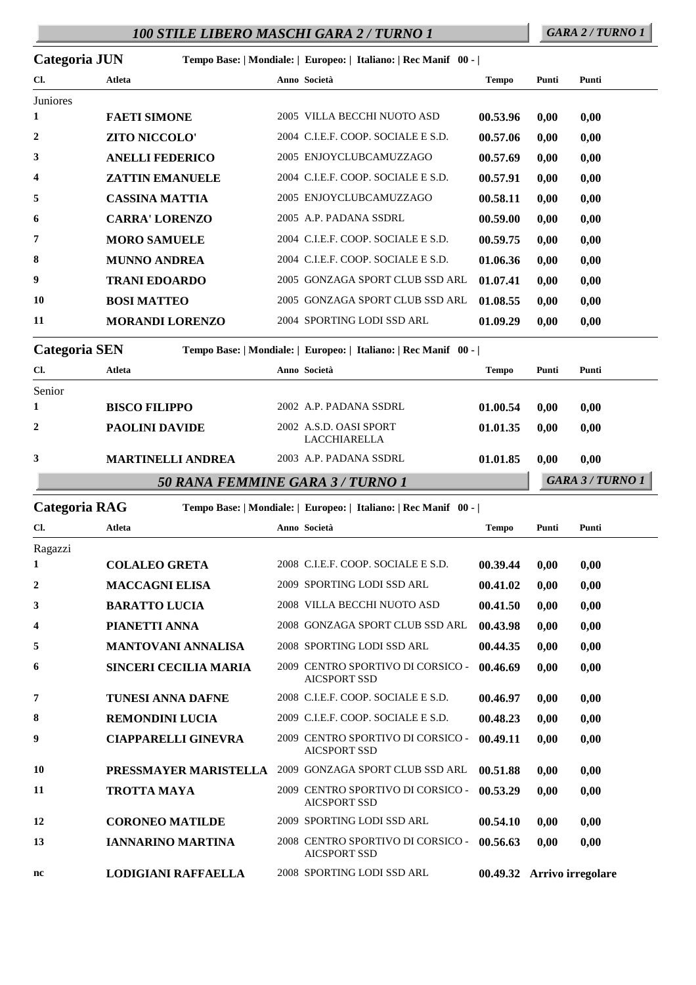# *100 STILE LIBERO MASCHI GARA 2 / TURNO 1 GARA 2 / TURNO 1*

| Categoria JUN |                        |                        | Tempo Base:   Mondiale:   Europeo:   Italiano:   Rec Manif 00 - |              |       |       |
|---------------|------------------------|------------------------|-----------------------------------------------------------------|--------------|-------|-------|
| Cl.           | <b>Atleta</b>          |                        | Anno Società                                                    | <b>Tempo</b> | Punti | Punti |
| Juniores      |                        |                        |                                                                 |              |       |       |
| 1             | <b>FAETI SIMONE</b>    |                        | 2005 VILLA BECCHI NUOTO ASD                                     | 00.53.96     | 0,00  | 0,00  |
| 2             | ZITO NICCOLO'          |                        | 2004 C.I.E.F. COOP. SOCIALE E S.D.                              | 00.57.06     | 0,00  | 0,00  |
| 3             | <b>ANELLI FEDERICO</b> |                        | 2005 ENJOYCLUBCAMUZZAGO                                         | 00.57.69     | 0,00  | 0,00  |
| 4             |                        | <b>ZATTIN EMANUELE</b> | 2004 C.I.E.F. COOP. SOCIALE E S.D.                              | 00.57.91     | 0,00  | 0,00  |
| 5             | <b>CASSINA MATTIA</b>  |                        | 2005 ENJOYCLUBCAMUZZAGO                                         | 00.58.11     | 0,00  | 0,00  |
| 6             | <b>CARRA' LORENZO</b>  |                        | 2005 A.P. PADANA SSDRL                                          | 00.59.00     | 0,00  | 0,00  |
| 7             | <b>MORO SAMUELE</b>    |                        | 2004 C.I.E.F. COOP. SOCIALE E S.D.                              | 00.59.75     | 0,00  | 0,00  |
| 8             | <b>MUNNO ANDREA</b>    |                        | 2004 C.I.E.F. COOP. SOCIALE E S.D.                              | 01.06.36     | 0,00  | 0,00  |
| 9             | <b>TRANI EDOARDO</b>   |                        | 2005 GONZAGA SPORT CLUB SSD ARL                                 | 01.07.41     | 0,00  | 0,00  |
| 10            | <b>BOSI MATTEO</b>     |                        | 2005 GONZAGA SPORT CLUB SSD ARL                                 | 01.08.55     | 0,00  | 0,00  |
| 11            |                        | <b>MORANDI LORENZO</b> | 2004 SPORTING LODI SSD ARL                                      | 01.09.29     | 0,00  | 0,00  |
| Categoria SEN |                        |                        | Tempo Base:   Mondiale:   Europeo:   Italiano:   Rec Manif 00 - |              |       |       |
| Cl.           | Atleta                 |                        | Anno Società                                                    | <b>Tempo</b> | Punti | Punti |

|        | <b>MARTINELLI ANDREA</b> | 2003 A.P. PADANA SSDRL<br>50 RANA FEMMINE GARA 3 / TURNO 1 | 01.01.85 | 0.00 | 0.00<br>GARA 3 / TURNO 1 |
|--------|--------------------------|------------------------------------------------------------|----------|------|--------------------------|
|        |                          | <b>LACCHIARELLA</b>                                        |          |      |                          |
|        | <b>PAOLINI DAVIDE</b>    | 2002 A.S.D. OASI SPORT                                     | 01.01.35 | 0.00 | 0.00                     |
| Senior | <b>BISCO FILIPPO</b>     | 2002 A.P. PADANA SSDRL                                     | 01.00.54 | 0.00 | 0.00                     |

| Categoria RAG    |                    |                              | Tempo Base:   Mondiale:   Europeo:   Italiano:   Rec Manif   00 - |                                                          |              |       |                            |
|------------------|--------------------|------------------------------|-------------------------------------------------------------------|----------------------------------------------------------|--------------|-------|----------------------------|
| Cl.              | <b>Atleta</b>      |                              |                                                                   | Anno Società                                             | <b>Tempo</b> | Punti | Punti                      |
| Ragazzi          |                    |                              |                                                                   |                                                          |              |       |                            |
| 1                |                    | <b>COLALEO GRETA</b>         |                                                                   | 2008 C.I.E.F. COOP. SOCIALE E S.D.                       | 00.39.44     | 0,00  | 0,00                       |
| $\boldsymbol{2}$ |                    | <b>MACCAGNI ELISA</b>        |                                                                   | 2009 SPORTING LODI SSD ARL                               | 00.41.02     | 0,00  | 0,00                       |
| 3                |                    | <b>BARATTO LUCIA</b>         |                                                                   | 2008 VILLA BECCHI NUOTO ASD                              | 00.41.50     | 0.00  | 0,00                       |
| 4                | PIANETTI ANNA      |                              |                                                                   | 2008 GONZAGA SPORT CLUB SSD ARL                          | 00.43.98     | 0,00  | 0,00                       |
| 5                |                    | <b>MANTOVANI ANNALISA</b>    |                                                                   | 2008 SPORTING LODI SSD ARL                               | 00.44.35     | 0.00  | 0,00                       |
| 6                |                    | <b>SINCERI CECILIA MARIA</b> |                                                                   | 2009 CENTRO SPORTIVO DI CORSICO -<br><b>AICSPORT SSD</b> | 00.46.69     | 0,00  | 0,00                       |
| 7                |                    | <b>TUNESI ANNA DAFNE</b>     |                                                                   | 2008 C.I.E.F. COOP. SOCIALE E S.D.                       | 00.46.97     | 0,00  | 0,00                       |
| 8                |                    | <b>REMONDINI LUCIA</b>       |                                                                   | 2009 C.I.E.F. COOP. SOCIALE E S.D.                       | 00.48.23     | 0.00  | 0,00                       |
| 9                |                    | <b>CIAPPARELLI GINEVRA</b>   |                                                                   | 2009 CENTRO SPORTIVO DI CORSICO -<br><b>AICSPORT SSD</b> | 00.49.11     | 0,00  | 0,00                       |
| 10               |                    | PRESSMAYER MARISTELLA        |                                                                   | 2009 GONZAGA SPORT CLUB SSD ARL                          | 00.51.88     | 0,00  | 0,00                       |
| 11               | <b>TROTTA MAYA</b> |                              |                                                                   | 2009 CENTRO SPORTIVO DI CORSICO -<br><b>AICSPORT SSD</b> | 00.53.29     | 0.00  | 0,00                       |
| 12               |                    | <b>CORONEO MATILDE</b>       | 2009                                                              | SPORTING LODI SSD ARL                                    | 00.54.10     | 0,00  | 0,00                       |
| 13               |                    | <b>IANNARINO MARTINA</b>     |                                                                   | 2008 CENTRO SPORTIVO DI CORSICO -<br><b>AICSPORT SSD</b> | 00.56.63     | 0,00  | 0,00                       |
| nc               |                    | <b>LODIGIANI RAFFAELLA</b>   |                                                                   | 2008 SPORTING LODI SSD ARL                               |              |       | 00.49.32 Arrivo irregolare |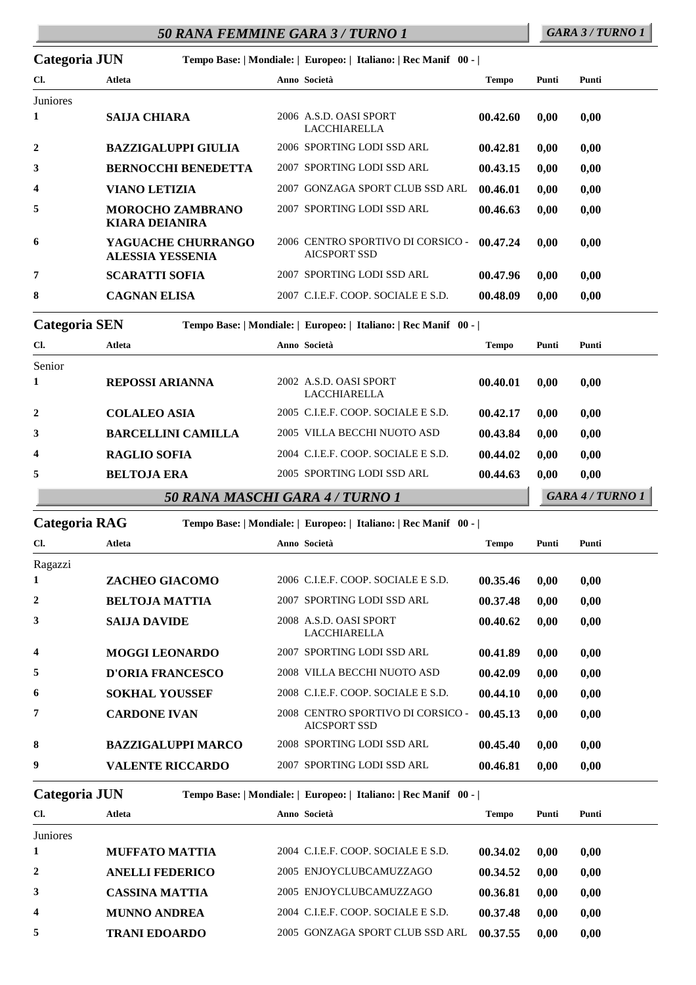# *50 RANA FEMMINE GARA 3 / TURNO 1 GARA 3 / TURNO 1*

| Categoria JUN    |                                               | Tempo Base:   Mondiale:   Europeo:   Italiano:   Rec Manif 00 - |                                                          |          |       |       |
|------------------|-----------------------------------------------|-----------------------------------------------------------------|----------------------------------------------------------|----------|-------|-------|
| Cl.              | Atleta                                        |                                                                 | Anno Società                                             | Tempo    | Punti | Punti |
| Juniores         |                                               |                                                                 |                                                          |          |       |       |
| 1                | <b>SAIJA CHIARA</b>                           |                                                                 | 2006 A.S.D. OASI SPORT<br><b>LACCHIARELLA</b>            | 00.42.60 | 0,00  | 0,00  |
| $\boldsymbol{2}$ | <b>BAZZIGALUPPI GIULIA</b>                    |                                                                 | 2006 SPORTING LODI SSD ARL                               | 00.42.81 | 0.00  | 0,00  |
| 3                | <b>BERNOCCHI BENEDETTA</b>                    |                                                                 | 2007 SPORTING LODI SSD ARL                               | 00.43.15 | 0.00  | 0,00  |
| 4                | VIANO LETIZIA                                 |                                                                 | 2007 GONZAGA SPORT CLUB SSD ARL                          | 00.46.01 | 0.00  | 0,00  |
| 5                | <b>MOROCHO ZAMBRANO</b><br>KIARA DEIANIRA     |                                                                 | 2007 SPORTING LODI SSD ARL                               | 00.46.63 | 0.00  | 0,00  |
| 6                | YAGUACHE CHURRANGO<br><b>ALESSIA YESSENIA</b> |                                                                 | 2006 CENTRO SPORTIVO DI CORSICO -<br><b>AICSPORT SSD</b> | 00.47.24 | 0.00  | 0.00  |
| 7                | <b>SCARATTI SOFIA</b>                         |                                                                 | 2007 SPORTING LODI SSD ARL                               | 00.47.96 | 0.00  | 0,00  |
| 8                | <b>CAGNAN ELISA</b>                           |                                                                 | 2007 C.I.E.F. COOP. SOCIALE E S.D.                       | 00.48.09 | 0,00  | 0.00  |

**Categoria SEN Tempo Base: | Mondiale: | Europeo: | Italiano: | Rec Manif 00 - |**

| Cl.                     | Atleta                    | Anno Società                                  | Tempo    | Punti | Punti |
|-------------------------|---------------------------|-----------------------------------------------|----------|-------|-------|
| Senior                  |                           |                                               |          |       |       |
| 1                       | <b>REPOSSI ARIANNA</b>    | 2002 A.S.D. OASI SPORT<br><b>LACCHIARELLA</b> | 00.40.01 | 0,00  | 0,00  |
| $\overline{2}$          | <b>COLALEO ASIA</b>       | 2005 C.I.E.F. COOP. SOCIALE E S.D.            | 00.42.17 | 0,00  | 0,00  |
| 3                       | <b>BARCELLINI CAMILLA</b> | 2005 VILLA BECCHI NUOTO ASD                   | 00.43.84 | 0.00  | 0,00  |
| $\overline{\mathbf{4}}$ | <b>RAGLIO SOFIA</b>       | 2004 C.L.E.F. COOP. SOCIALE E S.D.            | 00.44.02 | 0.00  | 0,00  |
| 5                       | <b>BELTOJA ERA</b>        | 2005 SPORTING LODI SSD ARL                    | 00.44.63 | 0,00  | 0,00  |
|                         |                           | GARA 4 / TURNO 1                              |          |       |       |

| Categoria RAG |                           | Tempo Base:   Mondiale:   Europeo:   Italiano:   Rec Manif 00 - |              |       |       |  |
|---------------|---------------------------|-----------------------------------------------------------------|--------------|-------|-------|--|
| Cl.           | Atleta                    | Anno Società                                                    | <b>Tempo</b> | Punti | Punti |  |
| Ragazzi       |                           |                                                                 |              |       |       |  |
| 1             | <b>ZACHEO GIACOMO</b>     | 2006 C.LE.F. COOP. SOCIALE E S.D.                               | 00.35.46     | 0,00  | 0,00  |  |
| $\mathbf{2}$  | <b>BELTOJA MATTIA</b>     | 2007 SPORTING LODI SSD ARL                                      | 00.37.48     | 0,00  | 0,00  |  |
| 3             | <b>SAIJA DAVIDE</b>       | 2008 A.S.D. OASI SPORT<br><b>LACCHIARELLA</b>                   | 00.40.62     | 0,00  | 0,00  |  |
| 4             | <b>MOGGI LEONARDO</b>     | 2007 SPORTING LODI SSD ARL                                      | 00.41.89     | 0,00  | 0.00  |  |
| 5             | <b>D'ORIA FRANCESCO</b>   | 2008 VILLA BECCHI NUOTO ASD                                     | 00.42.09     | 0,00  | 0,00  |  |
| 6             | <b>SOKHAL YOUSSEF</b>     | 2008 C.L.E.F. COOP. SOCIALE E S.D.                              | 00.44.10     | 0,00  | 0,00  |  |
| 7             | <b>CARDONE IVAN</b>       | 2008 CENTRO SPORTIVO DI CORSICO -<br><b>AICSPORT SSD</b>        | 00.45.13     | 0,00  | 0,00  |  |
| 8             | <b>BAZZIGALUPPI MARCO</b> | 2008 SPORTING LODI SSD ARL                                      | 00.45.40     | 0.00  | 0,00  |  |
| 9             | <b>VALENTE RICCARDO</b>   | 2007 SPORTING LODI SSD ARL                                      | 00.46.81     | 0,00  | 0,00  |  |

**Categoria JUN Tempo Base: | Mondiale: | Europeo: | Italiano: | Rec Manif 00 - |**

| Cl.            | Atleta                 | Anno Società                       | Tempo    | Punti | Punti |  |
|----------------|------------------------|------------------------------------|----------|-------|-------|--|
| Juniores       |                        |                                    |          |       |       |  |
|                | <b>MUFFATO MATTIA</b>  | 2004 C.I.E.F. COOP. SOCIALE E S.D. | 00.34.02 | 0.00  | 0,00  |  |
| $\overline{2}$ | <b>ANELLI FEDERICO</b> | 2005 ENJOYCLUBCAMUZZAGO            | 00.34.52 | 0.00  | 0,00  |  |
| 3              | <b>CASSINA MATTIA</b>  | 2005 ENJOYCLUBCAMUZZAGO            | 00.36.81 | 0.00  | 0,00  |  |
| 4              | <b>MUNNO ANDREA</b>    | 2004 C.L.E.F. COOP. SOCIALE E S.D. | 00.37.48 | 0.00  | 0.00  |  |
| 5              | <b>TRANI EDOARDO</b>   | 2005 GONZAGA SPORT CLUB SSD ARL    | 00.37.55 | 0.00  | 0.00  |  |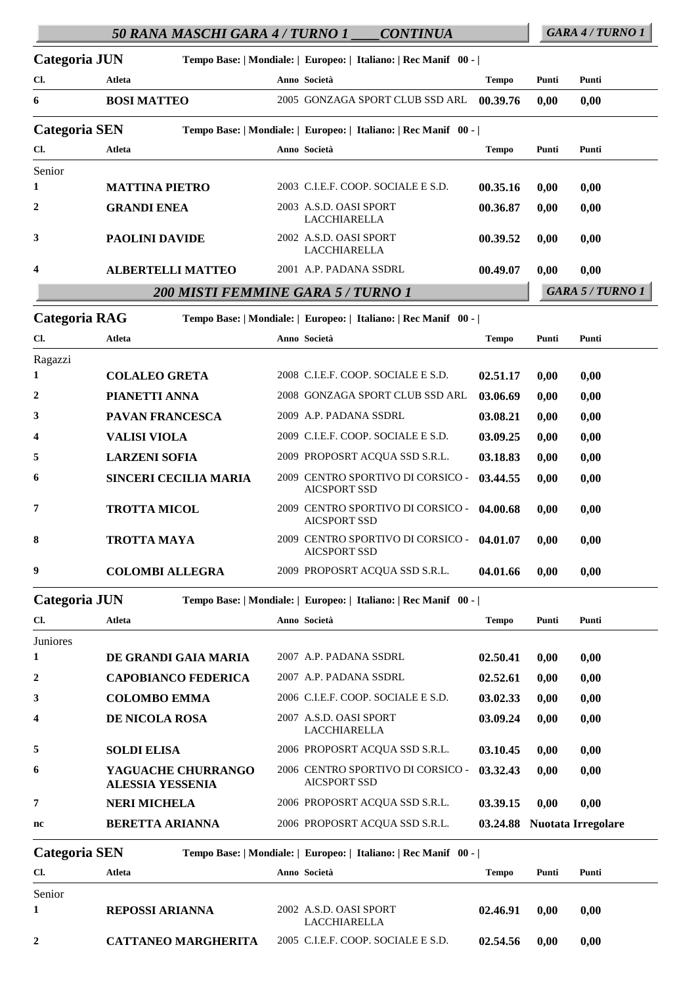|                      |                         | 50 RANA MASCHI GARA 4 / TURNO 1 | <b>CONTINUA</b>                                                 |              |       | GARA 4/TURNO 1   |
|----------------------|-------------------------|---------------------------------|-----------------------------------------------------------------|--------------|-------|------------------|
| Categoria JUN        |                         |                                 | Tempo Base:   Mondiale:   Europeo:   Italiano:   Rec Manif 00 - |              |       |                  |
| Cl.                  | Atleta                  |                                 | Anno Società                                                    | <b>Tempo</b> | Punti | Punti            |
| 6                    | <b>BOSI MATTEO</b>      |                                 | 2005 GONZAGA SPORT CLUB SSD ARL                                 | 00.39.76     | 0,00  | 0,00             |
| <b>Categoria SEN</b> |                         |                                 | Tempo Base:   Mondiale:   Europeo:   Italiano:   Rec Manif 00 - |              |       |                  |
| Cl.                  | Atleta                  |                                 | Anno Società                                                    | <b>Tempo</b> | Punti | Punti            |
| Senior               |                         |                                 |                                                                 |              |       |                  |
| 1                    | <b>MATTINA PIETRO</b>   |                                 | 2003 C.I.E.F. COOP. SOCIALE E S.D.                              | 00.35.16     | 0,00  | 0,00             |
| $\boldsymbol{2}$     | <b>GRANDI ENEA</b>      |                                 | 2003 A.S.D. OASI SPORT<br>LACCHIARELLA                          | 00.36.87     | 0,00  | 0,00             |
| 3                    | <b>PAOLINI DAVIDE</b>   |                                 | 2002 A.S.D. OASI SPORT<br><b>LACCHIARELLA</b>                   | 00.39.52     | 0,00  | 0,00             |
| 4                    |                         | <b>ALBERTELLI MATTEO</b>        | 2001 A.P. PADANA SSDRL                                          | 00.49.07     | 0,00  | 0,00             |
|                      |                         |                                 | 200 MISTI FEMMINE GARA 5 / TURNO 1                              |              |       | GARA 5 / TURNO 1 |
| Categoria RAG        |                         |                                 | Tempo Base:   Mondiale:   Europeo:   Italiano:   Rec Manif 00 - |              |       |                  |
| Cl.                  | <b>Atleta</b>           |                                 | Anno Società                                                    | <b>Tempo</b> | Punti | Punti            |
| Ragazzi              |                         |                                 |                                                                 |              |       |                  |
| 1                    | <b>COLALEO GRETA</b>    |                                 | 2008 C.I.E.F. COOP. SOCIALE E S.D.                              | 02.51.17     | 0,00  | 0,00             |
| $\boldsymbol{2}$     | PIANETTI ANNA           |                                 | 2008 GONZAGA SPORT CLUB SSD ARL                                 | 03.06.69     | 0,00  | 0,00             |
| 3                    | PAVAN FRANCESCA         |                                 | 2009 A.P. PADANA SSDRL                                          | 03.08.21     | 0,00  | 0,00             |
| 4                    | <b>VALISI VIOLA</b>     |                                 | 2009 C.I.E.F. COOP. SOCIALE E S.D.                              | 03.09.25     | 0,00  | 0,00             |
| 5                    | <b>LARZENI SOFIA</b>    |                                 | 2009 PROPOSRT ACQUA SSD S.R.L.                                  | 03.18.83     | 0,00  | 0,00             |
| 6                    |                         | SINCERI CECILIA MARIA           | 2009 CENTRO SPORTIVO DI CORSICO -<br><b>AICSPORT SSD</b>        | 03.44.55     | 0,00  | 0,00             |
| 7                    | <b>TROTTA MICOL</b>     |                                 | 2009 CENTRO SPORTIVO DI CORSICO -<br><b>AICSPORT SSD</b>        | 04.00.68     | 0,00  | 0,00             |
| 8                    | <b>TROTTA MAYA</b>      |                                 | 2009 CENTRO SPORTIVO DI CORSICO -<br>AICSPORT SSD               | 04.01.07     | 0,00  | 0,00             |
| 9                    | <b>COLOMBI ALLEGRA</b>  |                                 | 2009 PROPOSRT ACQUA SSD S.R.L.                                  | 04.01.66     | 0,00  | 0,00             |
| Categoria JUN        |                         |                                 | Tempo Base:   Mondiale:   Europeo:   Italiano:   Rec Manif 00 - |              |       |                  |
| Cl.                  | Atleta                  |                                 | Anno Società                                                    | <b>Tempo</b> | Punti | Punti            |
| Juniores             |                         |                                 |                                                                 |              |       |                  |
| 1                    |                         | DE GRANDI GAIA MARIA            | 2007 A.P. PADANA SSDRL                                          | 02.50.41     | 0,00  | 0,00             |
| $\boldsymbol{2}$     |                         | <b>CAPOBIANCO FEDERICA</b>      | 2007 A.P. PADANA SSDRL                                          | 02.52.61     | 0,00  | 0,00             |
| 3                    | <b>COLOMBO EMMA</b>     |                                 | 2006 C.I.E.F. COOP. SOCIALE E S.D.                              | 03.02.33     | 0,00  | 0,00             |
| 4                    | DE NICOLA ROSA          |                                 | 2007 A.S.D. OASI SPORT<br>LACCHIARELLA                          | 03.09.24     | 0,00  | 0,00             |
| 5                    | <b>SOLDI ELISA</b>      |                                 | 2006 PROPOSRT ACQUA SSD S.R.L.                                  | 03.10.45     | 0,00  | 0,00             |
| 6                    | <b>ALESSIA YESSENIA</b> | YAGUACHE CHURRANGO              | 2006 CENTRO SPORTIVO DI CORSICO -<br><b>AICSPORT SSD</b>        | 03.32.43     | 0,00  | 0,00             |

**Categoria SEN Tempo Base: | Mondiale: | Europeo: | Italiano: | Rec Manif 00 - |**

**7 NERI MICHELA** 2006 PROPOSRT ACQUA SSD S.R.L. **03.39.15 0,00 0,00**

**nc BERETTA ARIANNA** 2006 PROPOSRT ACQUA SSD S.R.L. **03.24.88 Nuotata Irregolare** 

| Cl.    | Atleta                     | Anno Società                                  | <b>Tempo</b> | Punti | Punti |
|--------|----------------------------|-----------------------------------------------|--------------|-------|-------|
| Senior |                            |                                               |              |       |       |
|        | <b>REPOSSI ARIANNA</b>     | 2002 A.S.D. OASI SPORT<br><b>LACCHIARELLA</b> | 02.46.91     | 0.00  | 0.00  |
| 2      | <b>CATTANEO MARGHERITA</b> | 2005 C.I.E.F. COOP. SOCIALE E S.D.            | 02.54.56     | 0.00  | 0.00  |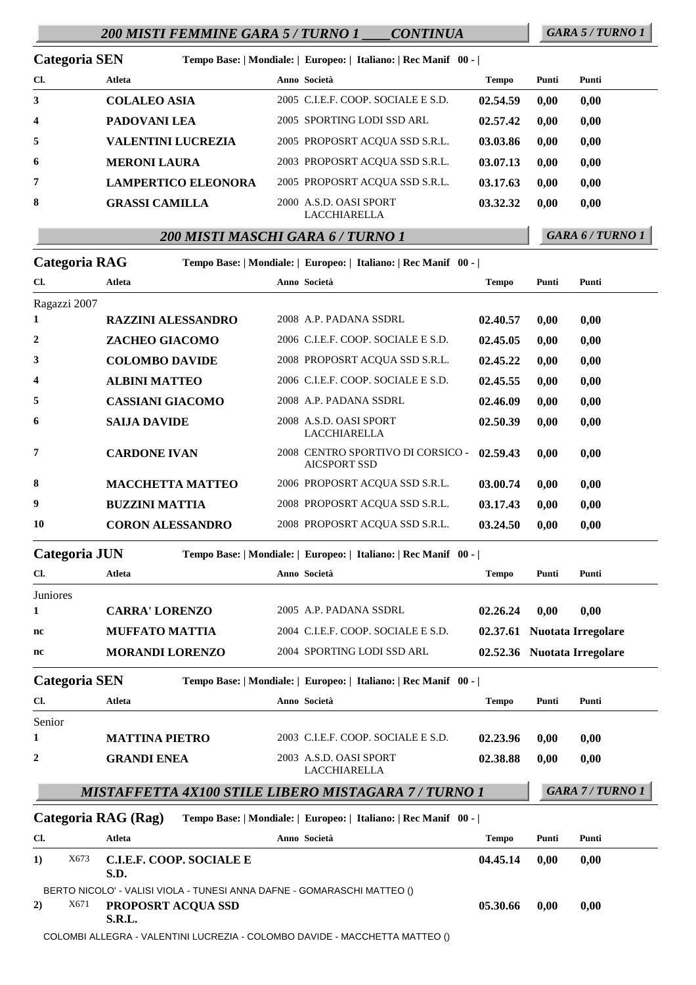# *200 MISTI FEMMINE GARA 5 / TURNO 1 \_\_\_\_CONTINUA GARA 5 / TURNO 1*

| Categoria SEN           |                            | Tempo Base:   Mondiale:   Europeo:   Italiano:   Rec Manif 00 - |          |       |       |
|-------------------------|----------------------------|-----------------------------------------------------------------|----------|-------|-------|
| Cl.                     | <b>Atleta</b>              | Anno Società                                                    | Tempo    | Punti | Punti |
| 3                       | <b>COLALEO ASIA</b>        | 2005 C.L.E.F. COOP. SOCIALE E S.D.                              | 02.54.59 | 0,00  | 0,00  |
| $\overline{\mathbf{4}}$ | PADOVANI LEA               | 2005 SPORTING LODI SSD ARL                                      | 02.57.42 | 0,00  | 0,00  |
| 5                       | <b>VALENTINI LUCREZIA</b>  | 2005 PROPOSRT ACOUA SSD S.R.L.                                  | 03.03.86 | 0,00  | 0,00  |
| 6                       | <b>MERONI LAURA</b>        | 2003 PROPOSRT ACOUA SSD S.R.L.                                  | 03.07.13 | 0,00  | 0,00  |
| 7                       | <b>LAMPERTICO ELEONORA</b> | 2005 PROPOSRT ACOUA SSD S.R.L.                                  | 03.17.63 | 0,00  | 0,00  |
| 8                       | <b>GRASSI CAMILLA</b>      | 2000 A.S.D. OASI SPORT<br><b>LACCHIARELLA</b>                   | 03.32.32 | 0,00  | 0,00  |

*200 MISTI MASCHI GARA 6 / TURNO 1 GARA 6 / TURNO 1*

|              | Categoria RAG                                                                                         | Tempo Base:   Mondiale:   Europeo:   Italiano:   Rec Manif 00 -  <br>Anno Società |              |       |                             |
|--------------|-------------------------------------------------------------------------------------------------------|-----------------------------------------------------------------------------------|--------------|-------|-----------------------------|
| Cl.          | Atleta                                                                                                |                                                                                   | <b>Tempo</b> | Punti | Punti                       |
| 1            | Ragazzi 2007<br><b>RAZZINI ALESSANDRO</b>                                                             | 2008 A.P. PADANA SSDRL                                                            | 02.40.57     | 0,00  | 0,00                        |
| 2            | ZACHEO GIACOMO                                                                                        | 2006 C.I.E.F. COOP. SOCIALE E S.D.                                                | 02.45.05     | 0,00  | 0,00                        |
| 3            | <b>COLOMBO DAVIDE</b>                                                                                 | 2008 PROPOSRT ACQUA SSD S.R.L.                                                    | 02.45.22     | 0,00  | 0,00                        |
| 4            | <b>ALBINI MATTEO</b>                                                                                  | 2006 C.I.E.F. COOP. SOCIALE E S.D.                                                | 02.45.55     | 0,00  | 0,00                        |
| 5            | <b>CASSIANI GIACOMO</b>                                                                               | 2008 A.P. PADANA SSDRL                                                            | 02.46.09     | 0,00  | 0,00                        |
| 6            | <b>SAIJA DAVIDE</b>                                                                                   | 2008 A.S.D. OASI SPORT<br><b>LACCHIARELLA</b>                                     | 02.50.39     | 0,00  | 0,00                        |
| 7            | <b>CARDONE IVAN</b>                                                                                   | 2008 CENTRO SPORTIVO DI CORSICO -<br><b>AICSPORT SSD</b>                          | 02.59.43     | 0,00  | 0,00                        |
| 8            | <b>MACCHETTA MATTEO</b>                                                                               | 2006 PROPOSRT ACQUA SSD S.R.L.                                                    | 03.00.74     | 0,00  | 0,00                        |
| 9            | <b>BUZZINI MATTIA</b>                                                                                 | 2008 PROPOSRT ACQUA SSD S.R.L.                                                    | 03.17.43     | 0,00  | 0,00                        |
| 10           | <b>CORON ALESSANDRO</b>                                                                               | 2008 PROPOSRT ACQUA SSD S.R.L.                                                    | 03.24.50     | 0,00  | 0,00                        |
|              | Categoria JUN                                                                                         | Tempo Base:   Mondiale:   Europeo:   Italiano:   Rec Manif 00 -                   |              |       |                             |
| Cl.          | Atleta                                                                                                | Anno Società                                                                      | <b>Tempo</b> | Punti | Punti                       |
| Juniores     |                                                                                                       |                                                                                   |              |       |                             |
| 1            | <b>CARRA' LORENZO</b>                                                                                 | 2005 A.P. PADANA SSDRL                                                            | 02.26.24     | 0,00  | 0,00                        |
| nc           | <b>MUFFATO MATTIA</b>                                                                                 | 2004 C.I.E.F. COOP. SOCIALE E S.D.                                                |              |       | 02.37.61 Nuotata Irregolare |
| nc           | <b>MORANDI LORENZO</b>                                                                                | 2004 SPORTING LODI SSD ARL                                                        |              |       | 02.52.36 Nuotata Irregolare |
|              | <b>Categoria SEN</b>                                                                                  | Tempo Base:   Mondiale:   Europeo:   Italiano:   Rec Manif 00 -                   |              |       |                             |
| Cl.          | Atleta                                                                                                | Anno Società                                                                      | <b>Tempo</b> | Punti | Punti                       |
| Senior       |                                                                                                       |                                                                                   |              |       |                             |
| 1            | <b>MATTINA PIETRO</b>                                                                                 | 2003 C.I.E.F. COOP. SOCIALE E S.D.                                                | 02.23.96     | 0,00  | 0,00                        |
| $\mathbf{2}$ | <b>GRANDI ENEA</b>                                                                                    | 2003 A.S.D. OASI SPORT<br>LACCHIARELLA                                            | 02.38.88     | 0,00  | 0,00                        |
|              |                                                                                                       | MISTAFFETTA 4X100 STILE LIBERO MISTAGARA 7 / TURNO 1                              |              |       | GARA 7 / TURNO 1            |
|              | Categoria RAG (Rag)                                                                                   | Tempo Base:   Mondiale:   Europeo:   Italiano:   Rec Manif 00 -                   |              |       |                             |
| Cl.          | Atleta                                                                                                | Anno Società                                                                      | <b>Tempo</b> | Punti | Punti                       |
| 1)           | X673<br><b>C.I.E.F. COOP. SOCIALE E</b><br>S.D.                                                       |                                                                                   | 04.45.14     | 0,00  | 0,00                        |
| 2)           | BERTO NICOLO' - VALISI VIOLA - TUNESI ANNA DAFNE - GOMARASCHI MATTEO ()<br>X671<br>PROPOSRT ACQUA SSD |                                                                                   | 05.30.66     | 0,00  | 0,00                        |

**S.R.L.**